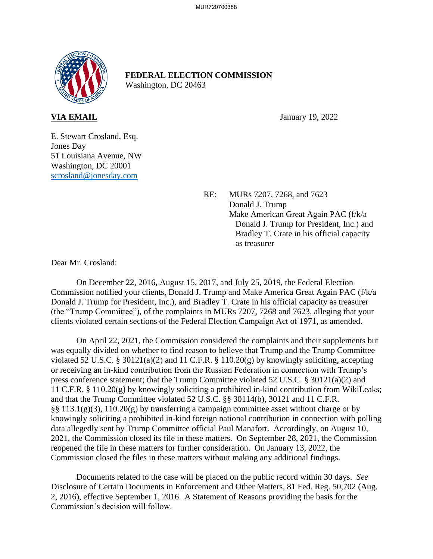

## **FEDERAL ELECTION COMMISSION** Washington, DC 20463

**VIA EMAIL** January 19, 2022

E. Stewart Crosland, Esq. Jones Day 51 Louisiana Avenue, NW Washington, DC 20001 scrosland@jonesday.com

> RE: MURs 7207, 7268, and 7623 Donald J. Trump Make American Great Again PAC (f/k/a Donald J. Trump for President, Inc.) and Bradley T. Crate in his official capacity as treasurer

Dear Mr. Crosland:

On December 22, 2016, August 15, 2017, and July 25, 2019, the Federal Election Commission notified your clients, Donald J. Trump and Make America Great Again PAC (f/k/a Donald J. Trump for President, Inc.), and Bradley T. Crate in his official capacity as treasurer (the "Trump Committee"), of the complaints in MURs 7207, 7268 and 7623, alleging that your clients violated certain sections of the Federal Election Campaign Act of 1971, as amended.

On April 22, 2021, the Commission considered the complaints and their supplements but was equally divided on whether to find reason to believe that Trump and the Trump Committee violated 52 U.S.C. § 30121(a)(2) and 11 C.F.R. § 110.20(g) by knowingly soliciting, accepting or receiving an in-kind contribution from the Russian Federation in connection with Trump's press conference statement; that the Trump Committee violated 52 U.S.C. § 30121(a)(2) and 11 C.F.R. § 110.20(g) by knowingly soliciting a prohibited in-kind contribution from WikiLeaks; and that the Trump Committee violated 52 U.S.C. §§ 30114(b), 30121 and 11 C.F.R. §§ 113.1(g)(3), 110.20(g) by transferring a campaign committee asset without charge or by knowingly soliciting a prohibited in-kind foreign national contribution in connection with polling data allegedly sent by Trump Committee official Paul Manafort. Accordingly, on August 10, 2021, the Commission closed its file in these matters. On September 28, 2021, the Commission reopened the file in these matters for further consideration. On January 13, 2022, the Commission closed the files in these matters without making any additional findings.

Documents related to the case will be placed on the public record within 30 days. *See*  Disclosure of Certain Documents in Enforcement and Other Matters*,* 81 Fed. Reg. 50,702 (Aug. 2, 2016), effective September 1, 2016. A Statement of Reasons providing the basis for the Commission's decision will follow.